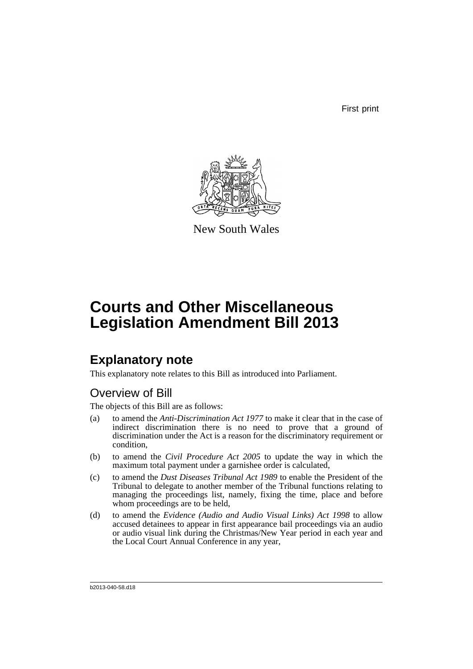First print



New South Wales

## **Courts and Other Miscellaneous Legislation Amendment Bill 2013**

## **Explanatory note**

This explanatory note relates to this Bill as introduced into Parliament.

## Overview of Bill

The objects of this Bill are as follows:

- (a) to amend the *Anti-Discrimination Act 1977* to make it clear that in the case of indirect discrimination there is no need to prove that a ground of discrimination under the Act is a reason for the discriminatory requirement or condition,
- (b) to amend the *Civil Procedure Act 2005* to update the way in which the maximum total payment under a garnishee order is calculated,
- (c) to amend the *Dust Diseases Tribunal Act 1989* to enable the President of the Tribunal to delegate to another member of the Tribunal functions relating to managing the proceedings list, namely, fixing the time, place and before whom proceedings are to be held,
- (d) to amend the *Evidence (Audio and Audio Visual Links) Act 1998* to allow accused detainees to appear in first appearance bail proceedings via an audio or audio visual link during the Christmas/New Year period in each year and the Local Court Annual Conference in any year,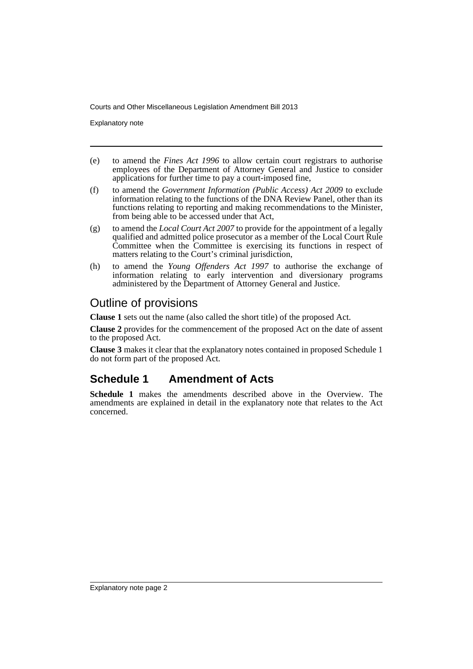Explanatory note

- (e) to amend the *Fines Act 1996* to allow certain court registrars to authorise employees of the Department of Attorney General and Justice to consider applications for further time to pay a court-imposed fine,
- (f) to amend the *Government Information (Public Access) Act 2009* to exclude information relating to the functions of the DNA Review Panel, other than its functions relating to reporting and making recommendations to the Minister, from being able to be accessed under that Act,
- (g) to amend the *Local Court Act 2007* to provide for the appointment of a legally qualified and admitted police prosecutor as a member of the Local Court Rule Committee when the Committee is exercising its functions in respect of matters relating to the Court's criminal jurisdiction,
- (h) to amend the *Young Offenders Act 1997* to authorise the exchange of information relating to early intervention and diversionary programs administered by the Department of Attorney General and Justice.

### Outline of provisions

**Clause 1** sets out the name (also called the short title) of the proposed Act.

**Clause 2** provides for the commencement of the proposed Act on the date of assent to the proposed Act.

**Clause 3** makes it clear that the explanatory notes contained in proposed Schedule 1 do not form part of the proposed Act.

## **Schedule 1 Amendment of Acts**

**Schedule 1** makes the amendments described above in the Overview. The amendments are explained in detail in the explanatory note that relates to the Act concerned.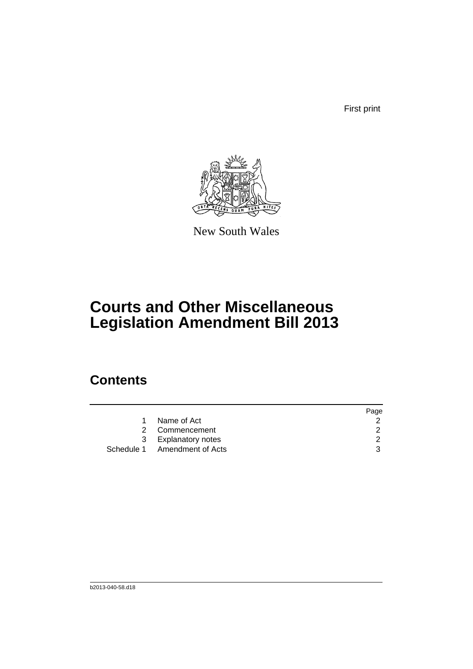First print



New South Wales

# **Courts and Other Miscellaneous Legislation Amendment Bill 2013**

## **Contents**

|                              | Page |
|------------------------------|------|
| Name of Act                  |      |
| 2 Commencement               | 2    |
| 3 Explanatory notes          |      |
| Schedule 1 Amendment of Acts |      |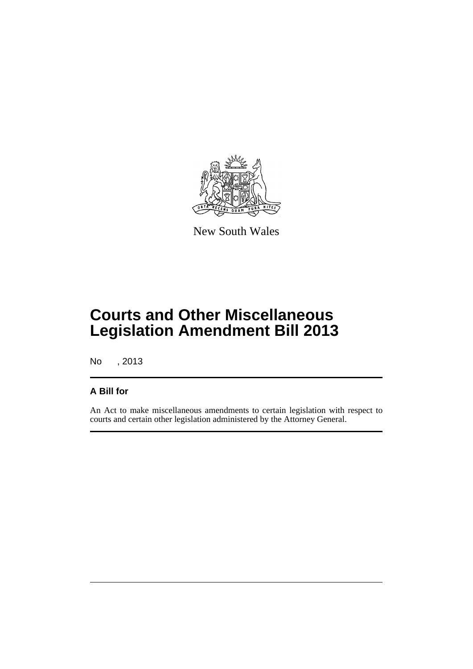

New South Wales

## **Courts and Other Miscellaneous Legislation Amendment Bill 2013**

No , 2013

### **A Bill for**

An Act to make miscellaneous amendments to certain legislation with respect to courts and certain other legislation administered by the Attorney General.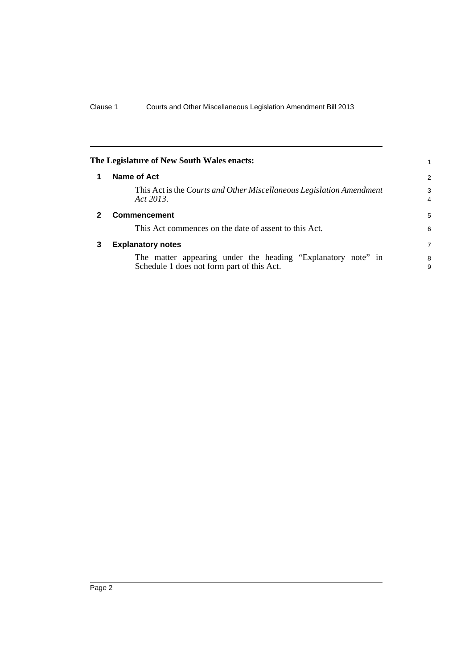<span id="page-5-2"></span><span id="page-5-1"></span><span id="page-5-0"></span>

|   | The Legislature of New South Wales enacts:                                                                 |                     |
|---|------------------------------------------------------------------------------------------------------------|---------------------|
|   | Name of Act                                                                                                | 2                   |
|   | This Act is the Courts and Other Miscellaneous Legislation Amendment<br>Act 2013.                          | 3<br>$\overline{4}$ |
|   | <b>Commencement</b>                                                                                        | 5                   |
|   | This Act commences on the date of assent to this Act.                                                      | 6                   |
| 3 | <b>Explanatory notes</b>                                                                                   | 7                   |
|   | The matter appearing under the heading "Explanatory note" in<br>Schedule 1 does not form part of this Act. | 8<br>9              |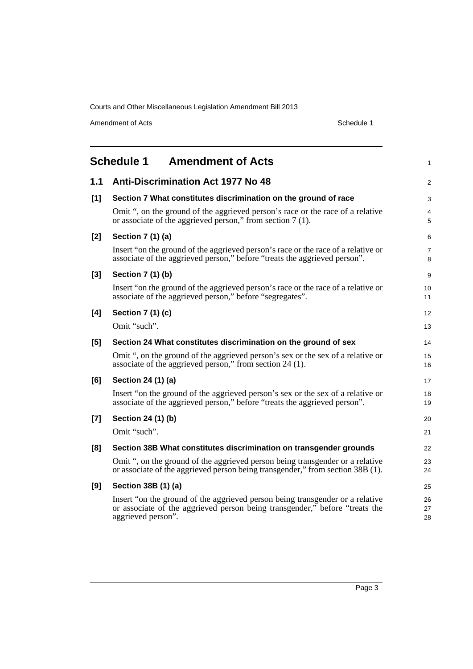Amendment of Acts Schedule 1

<span id="page-6-0"></span>

|       | <b>Schedule 1</b><br><b>Amendment of Acts</b>                                                                                                                                      | $\mathbf{1}$        |
|-------|------------------------------------------------------------------------------------------------------------------------------------------------------------------------------------|---------------------|
| $1.1$ | <b>Anti-Discrimination Act 1977 No 48</b>                                                                                                                                          | 2                   |
| [1]   | Section 7 What constitutes discrimination on the ground of race                                                                                                                    | 3                   |
|       | Omit ", on the ground of the aggrieved person's race or the race of a relative<br>or associate of the aggrieved person," from section 7 (1).                                       | 4<br>5              |
| $[2]$ | Section 7 (1) (a)                                                                                                                                                                  | 6                   |
|       | Insert "on the ground of the aggrieved person's race or the race of a relative or<br>associate of the aggrieved person," before "treats the aggrieved person".                     | $\overline{7}$<br>8 |
| $[3]$ | Section 7 (1) (b)                                                                                                                                                                  | 9                   |
|       | Insert "on the ground of the aggrieved person's race or the race of a relative or<br>associate of the aggrieved person," before "segregates".                                      | 10<br>11            |
| [4]   | Section 7 (1) (c)                                                                                                                                                                  | 12                  |
|       | Omit "such".                                                                                                                                                                       | 13                  |
| [5]   | Section 24 What constitutes discrimination on the ground of sex                                                                                                                    | 14                  |
|       | Omit ", on the ground of the aggrieved person's sex or the sex of a relative or<br>associate of the aggrieved person," from section 24 (1).                                        | 15<br>16            |
| [6]   | Section 24 (1) (a)                                                                                                                                                                 | 17                  |
|       | Insert "on the ground of the aggrieved person's sex or the sex of a relative or<br>associate of the aggrieved person," before "treats the aggrieved person".                       | 18<br>19            |
| $[7]$ | Section 24 (1) (b)                                                                                                                                                                 | 20                  |
|       | Omit "such".                                                                                                                                                                       | 21                  |
| [8]   | Section 38B What constitutes discrimination on transgender grounds                                                                                                                 | 22                  |
|       | Omit ", on the ground of the aggrieved person being transgender or a relative<br>or associate of the aggrieved person being transgender," from section 38B (1).                    | 23<br>24            |
| [9]   | Section 38B (1) (a)                                                                                                                                                                | 25                  |
|       | Insert "on the ground of the aggrieved person being transgender or a relative<br>or associate of the aggrieved person being transgender," before "treats the<br>aggrieved person". | 26<br>27<br>28      |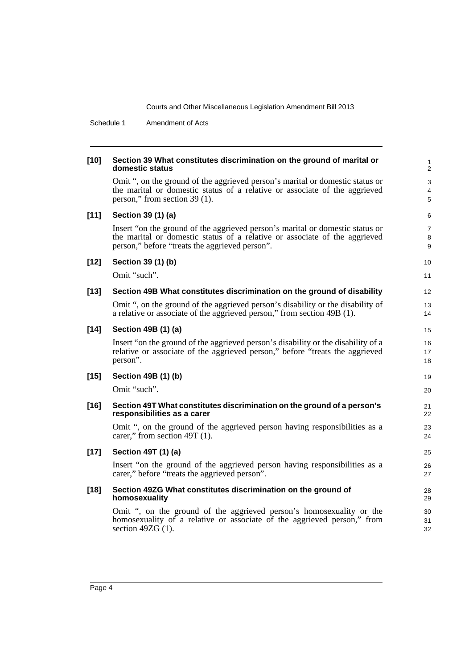Schedule 1 Amendment of Acts

| $[10]$ | Section 39 What constitutes discrimination on the ground of marital or<br>domestic status                                                                                                                     | $\mathbf{1}$<br>$\overline{2}$ |
|--------|---------------------------------------------------------------------------------------------------------------------------------------------------------------------------------------------------------------|--------------------------------|
|        | Omit ", on the ground of the aggrieved person's marital or domestic status or<br>the marital or domestic status of a relative or associate of the aggrieved<br>person," from section 39 (1).                  | 3<br>4<br>5                    |
| $[11]$ | Section 39 (1) (a)                                                                                                                                                                                            | 6                              |
|        | Insert "on the ground of the aggrieved person's marital or domestic status or<br>the marital or domestic status of a relative or associate of the aggrieved<br>person," before "treats the aggrieved person". | $\overline{7}$<br>8<br>9       |
| $[12]$ | Section 39 (1) (b)                                                                                                                                                                                            | 10                             |
|        | Omit "such".                                                                                                                                                                                                  | 11                             |
| $[13]$ | Section 49B What constitutes discrimination on the ground of disability                                                                                                                                       | 12                             |
|        | Omit ", on the ground of the aggrieved person's disability or the disability of<br>a relative or associate of the aggrieved person," from section 49B (1).                                                    | 13<br>14                       |
| $[14]$ | Section 49B (1) (a)                                                                                                                                                                                           | 15                             |
|        | Insert "on the ground of the aggrieved person's disability or the disability of a<br>relative or associate of the aggrieved person," before "treats the aggrieved<br>person".                                 | 16<br>17<br>18                 |
| $[15]$ | Section 49B (1) (b)                                                                                                                                                                                           | 19                             |
|        | Omit "such".                                                                                                                                                                                                  | 20                             |
| $[16]$ | Section 49T What constitutes discrimination on the ground of a person's<br>responsibilities as a carer                                                                                                        | 21<br>22                       |
|        | Omit ", on the ground of the aggrieved person having responsibilities as a<br>carer," from section 49T (1).                                                                                                   | 23<br>24                       |
| $[17]$ | Section 49T (1) (a)                                                                                                                                                                                           | 25                             |
|        | Insert "on the ground of the aggrieved person having responsibilities as a<br>carer," before "treats the aggrieved person".                                                                                   | 26<br>27                       |
| $[18]$ | Section 49ZG What constitutes discrimination on the ground of<br>homosexuality                                                                                                                                | 28<br>29                       |
|        | Omit ", on the ground of the aggrieved person's homosexuality or the<br>homosexuality of a relative or associate of the aggrieved person," from<br>section $49ZG(1)$ .                                        | 30<br>31<br>32                 |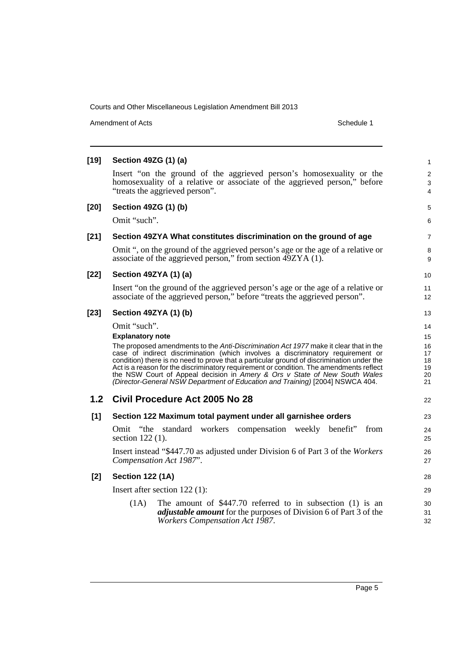Amendment of Acts Schedule 1

| $[19]$           | Section 49ZG (1) (a)                                                                                                                                                                     | $\mathbf{1}$             |
|------------------|------------------------------------------------------------------------------------------------------------------------------------------------------------------------------------------|--------------------------|
|                  | Insert "on the ground of the aggrieved person's homosexuality or the<br>homosexuality of a relative or associate of the aggrieved person," before<br>"treats the aggrieved person".      | 2<br>3<br>$\overline{4}$ |
| $[20]$           | Section 49ZG (1) (b)                                                                                                                                                                     | 5                        |
|                  | Omit "such".                                                                                                                                                                             | 6                        |
| $[21]$           | Section 49ZYA What constitutes discrimination on the ground of age                                                                                                                       | $\overline{7}$           |
|                  | Omit ", on the ground of the aggrieved person's age or the age of a relative or<br>associate of the aggrieved person," from section 49ZYA (1).                                           | 8<br>9                   |
| $[22]$           | Section 49ZYA (1) (a)                                                                                                                                                                    | 10                       |
|                  | Insert "on the ground of the aggrieved person's age or the age of a relative or<br>associate of the aggrieved person," before "treats the aggrieved person".                             | 11<br>12                 |
| $[23]$           | Section 49ZYA (1) (b)                                                                                                                                                                    | 13                       |
|                  | Omit "such".                                                                                                                                                                             | 14                       |
|                  | <b>Explanatory note</b>                                                                                                                                                                  | 15                       |
|                  | The proposed amendments to the Anti-Discrimination Act 1977 make it clear that in the<br>case of indirect discrimination (which involves a discriminatory requirement or                 | 16<br>17                 |
|                  | condition) there is no need to prove that a particular ground of discrimination under the                                                                                                | 18                       |
|                  | Act is a reason for the discriminatory requirement or condition. The amendments reflect<br>the NSW Court of Appeal decision in Amery & Ors v State of New South Wales                    | 19<br>20                 |
|                  | (Director-General NSW Department of Education and Training) [2004] NSWCA 404.                                                                                                            | 21                       |
| 1.2 <sub>2</sub> | Civil Procedure Act 2005 No 28                                                                                                                                                           | 22                       |
| $[1]$            | Section 122 Maximum total payment under all garnishee orders                                                                                                                             | 23                       |
|                  | Omit "the standard workers compensation weekly benefit"<br>from<br>section $122(1)$ .                                                                                                    | 24<br>25                 |
|                  | Insert instead "\$447.70 as adjusted under Division 6 of Part 3 of the Workers<br>Compensation Act 1987".                                                                                | 26<br>27                 |
| $[2]$            | <b>Section 122 (1A)</b>                                                                                                                                                                  | 28                       |
|                  | Insert after section $122$ (1):                                                                                                                                                          | 29                       |
|                  | The amount of $$447.70$ referred to in subsection (1) is an<br>(1A)<br><i>adjustable amount</i> for the purposes of Division 6 of Part 3 of the<br><b>Workers Compensation Act 1987.</b> | 30<br>31<br>32           |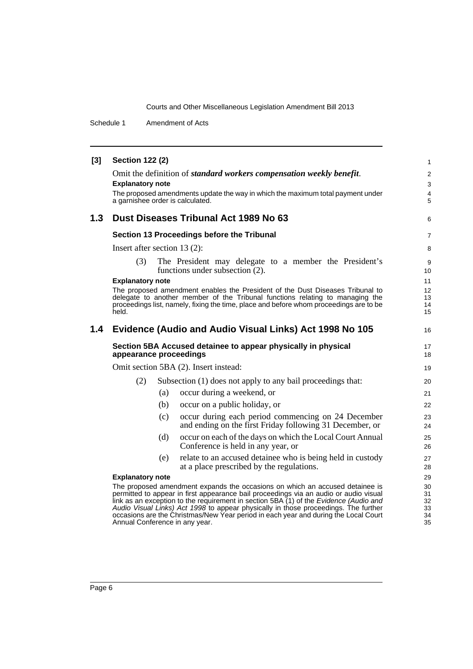Schedule 1 Amendment of Acts

| $[3]$ | <b>Section 122 (2)</b>           |     |                                                                                                                                                                                                                                                                                                                                                                                                                                              | $\mathbf{1}$                          |
|-------|----------------------------------|-----|----------------------------------------------------------------------------------------------------------------------------------------------------------------------------------------------------------------------------------------------------------------------------------------------------------------------------------------------------------------------------------------------------------------------------------------------|---------------------------------------|
|       |                                  |     | Omit the definition of standard workers compensation weekly benefit.                                                                                                                                                                                                                                                                                                                                                                         | 2                                     |
|       | <b>Explanatory note</b>          |     |                                                                                                                                                                                                                                                                                                                                                                                                                                              |                                       |
|       | a garnishee order is calculated. |     | The proposed amendments update the way in which the maximum total payment under                                                                                                                                                                                                                                                                                                                                                              | $\overline{\mathbf{4}}$<br>$\sqrt{5}$ |
| 1.3   |                                  |     | Dust Diseases Tribunal Act 1989 No 63                                                                                                                                                                                                                                                                                                                                                                                                        | 6                                     |
|       |                                  |     | Section 13 Proceedings before the Tribunal                                                                                                                                                                                                                                                                                                                                                                                                   | $\overline{7}$                        |
|       | Insert after section $13(2)$ :   |     |                                                                                                                                                                                                                                                                                                                                                                                                                                              | 8                                     |
|       | (3)                              |     | The President may delegate to a member the President's<br>functions under subsection $(2)$ .                                                                                                                                                                                                                                                                                                                                                 | 9<br>10                               |
|       | <b>Explanatory note</b>          |     |                                                                                                                                                                                                                                                                                                                                                                                                                                              | 11                                    |
|       |                                  |     | The proposed amendment enables the President of the Dust Diseases Tribunal to<br>delegate to another member of the Tribunal functions relating to managing the                                                                                                                                                                                                                                                                               | 12<br>13                              |
|       |                                  |     | proceedings list, namely, fixing the time, place and before whom proceedings are to be                                                                                                                                                                                                                                                                                                                                                       | 14                                    |
|       | held.                            |     |                                                                                                                                                                                                                                                                                                                                                                                                                                              | 15                                    |
| 1.4   |                                  |     | Evidence (Audio and Audio Visual Links) Act 1998 No 105                                                                                                                                                                                                                                                                                                                                                                                      | 16                                    |
|       | appearance proceedings           |     | Section 5BA Accused detainee to appear physically in physical                                                                                                                                                                                                                                                                                                                                                                                | 17<br>18                              |
|       |                                  |     | Omit section 5BA (2). Insert instead:                                                                                                                                                                                                                                                                                                                                                                                                        | 19                                    |
|       | (2)                              |     | Subsection (1) does not apply to any bail proceedings that:                                                                                                                                                                                                                                                                                                                                                                                  | 20                                    |
|       |                                  | (a) | occur during a weekend, or                                                                                                                                                                                                                                                                                                                                                                                                                   | 21                                    |
|       |                                  | (b) | occur on a public holiday, or                                                                                                                                                                                                                                                                                                                                                                                                                | 22                                    |
|       |                                  | (c) | occur during each period commencing on 24 December<br>and ending on the first Friday following 31 December, or                                                                                                                                                                                                                                                                                                                               | 23<br>24                              |
|       |                                  | (d) | occur on each of the days on which the Local Court Annual<br>Conference is held in any year, or                                                                                                                                                                                                                                                                                                                                              | 25<br>26                              |
|       |                                  | (e) | relate to an accused detainee who is being held in custody<br>at a place prescribed by the regulations.                                                                                                                                                                                                                                                                                                                                      | 27<br>28                              |
|       | <b>Explanatory note</b>          |     |                                                                                                                                                                                                                                                                                                                                                                                                                                              | 29                                    |
|       | Annual Conference in any year.   |     | The proposed amendment expands the occasions on which an accused detainee is<br>permitted to appear in first appearance bail proceedings via an audio or audio visual<br>link as an exception to the requirement in section 5BA (1) of the Evidence (Audio and<br>Audio Visual Links) Act 1998 to appear physically in those proceedings. The further<br>occasions are the Christmas/New Year period in each year and during the Local Court | 30<br>31<br>32<br>33<br>34<br>35      |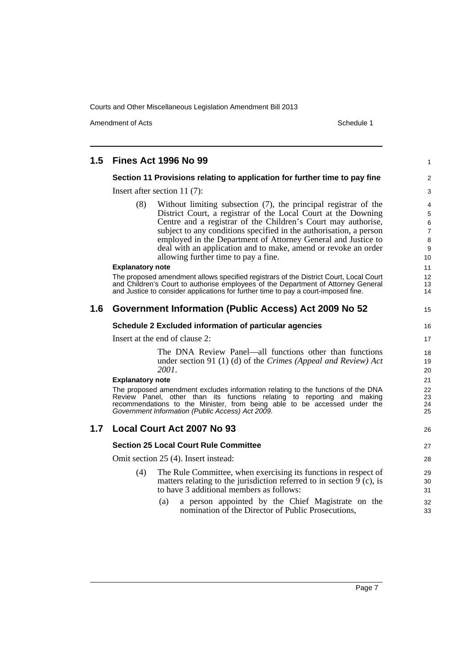Amendment of Acts Schedule 1

| 1.5 | <b>Fines Act 1996 No 99</b>                                                                                                                          | $\mathbf{1}$        |  |
|-----|------------------------------------------------------------------------------------------------------------------------------------------------------|---------------------|--|
|     | Section 11 Provisions relating to application for further time to pay fine                                                                           |                     |  |
|     | Insert after section 11 $(7)$ :                                                                                                                      |                     |  |
|     | Without limiting subsection (7), the principal registrar of the<br>(8)                                                                               | 4                   |  |
|     | District Court, a registrar of the Local Court at the Downing                                                                                        | $\sqrt{5}$          |  |
|     | Centre and a registrar of the Children's Court may authorise,                                                                                        | $\,6\,$             |  |
|     | subject to any conditions specified in the authorisation, a person<br>employed in the Department of Attorney General and Justice to                  | $\overline{7}$<br>8 |  |
|     | deal with an application and to make, amend or revoke an order                                                                                       | $\boldsymbol{9}$    |  |
|     | allowing further time to pay a fine.                                                                                                                 | 10                  |  |
|     | <b>Explanatory note</b>                                                                                                                              | 11                  |  |
|     | The proposed amendment allows specified registrars of the District Court, Local Court                                                                | $12 \overline{ }$   |  |
|     | and Children's Court to authorise employees of the Department of Attorney General                                                                    | 13                  |  |
|     | and Justice to consider applications for further time to pay a court-imposed fine.                                                                   | 14                  |  |
|     | 1.6 Government Information (Public Access) Act 2009 No 52                                                                                            | 15                  |  |
|     | Schedule 2 Excluded information of particular agencies                                                                                               | 16                  |  |
|     | Insert at the end of clause 2:                                                                                                                       |                     |  |
|     | The DNA Review Panel—all functions other than functions                                                                                              | 18                  |  |
|     | under section 91 (1) (d) of the Crimes (Appeal and Review) Act                                                                                       | 19                  |  |
|     | 2001.                                                                                                                                                | 20                  |  |
|     | <b>Explanatory note</b>                                                                                                                              | 21                  |  |
|     | The proposed amendment excludes information relating to the functions of the DNA                                                                     | 22                  |  |
|     | Review Panel, other than its functions relating to reporting and making<br>recommendations to the Minister, from being able to be accessed under the | 23<br>24            |  |
|     | Government Information (Public Access) Act 2009.                                                                                                     | 25                  |  |
| 1.7 | <b>Local Court Act 2007 No 93</b>                                                                                                                    | 26                  |  |
|     | <b>Section 25 Local Court Rule Committee</b>                                                                                                         | 27                  |  |
|     | Omit section 25 (4). Insert instead:                                                                                                                 | 28                  |  |
|     | The Rule Committee, when exercising its functions in respect of<br>(4)                                                                               | 29                  |  |
|     | matters relating to the jurisdiction referred to in section $\overline{9}$ (c), is                                                                   | 30                  |  |
|     | to have 3 additional members as follows:                                                                                                             | 31                  |  |
|     | a person appointed by the Chief Magistrate on the<br>(a)                                                                                             | 32                  |  |
|     | nomination of the Director of Public Prosecutions,                                                                                                   | 33                  |  |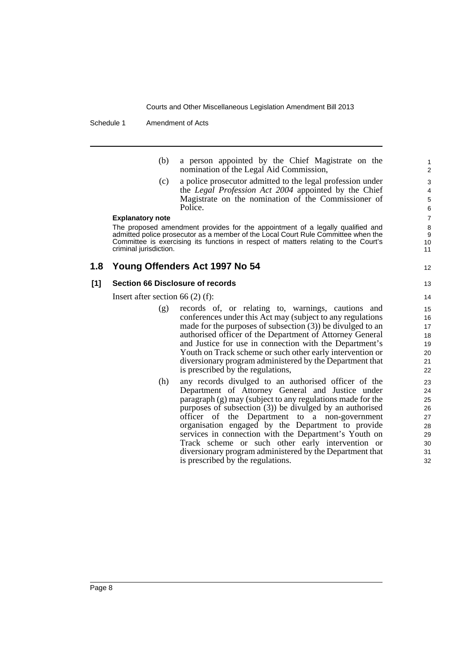Schedule 1 Amendment of Acts

(b) a person appointed by the Chief Magistrate on the nomination of the Legal Aid Commission,

12

(c) a police prosecutor admitted to the legal profession under the *Legal Profession Act 2004* appointed by the Chief Magistrate on the nomination of the Commissioner of Police.

#### **Explanatory note**

The proposed amendment provides for the appointment of a legally qualified and admitted police prosecutor as a member of the Local Court Rule Committee when the Committee is exercising its functions in respect of matters relating to the Court's criminal jurisdiction.

### **1.8 Young Offenders Act 1997 No 54**

#### **[1] Section 66 Disclosure of records**

Insert after section 66 (2) (f):

- (g) records of, or relating to, warnings, cautions and conferences under this Act may (subject to any regulations made for the purposes of subsection  $(3)$ ) be divulged to an authorised officer of the Department of Attorney General and Justice for use in connection with the Department's Youth on Track scheme or such other early intervention or diversionary program administered by the Department that is prescribed by the regulations,
- (h) any records divulged to an authorised officer of the Department of Attorney General and Justice under paragraph (g) may (subject to any regulations made for the purposes of subsection (3)) be divulged by an authorised officer of the Department to a non-government organisation engaged by the Department to provide services in connection with the Department's Youth on Track scheme or such other early intervention or diversionary program administered by the Department that is prescribed by the regulations.

Page 8